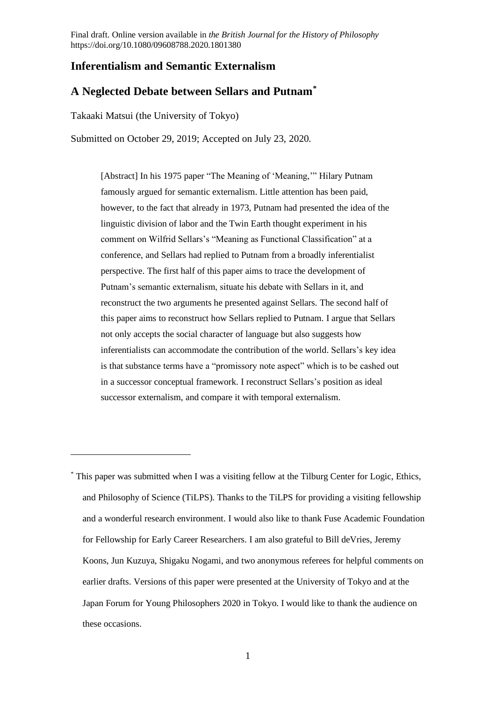# **Inferentialism and Semantic Externalism**

# **A Neglected Debate between Sellars and Putnam\***

Takaaki Matsui (the University of Tokyo)

Submitted on October 29, 2019; Accepted on July 23, 2020.

[Abstract] In his 1975 paper "The Meaning of 'Meaning,'" Hilary Putnam famously argued for semantic externalism. Little attention has been paid, however, to the fact that already in 1973, Putnam had presented the idea of the linguistic division of labor and the Twin Earth thought experiment in his comment on Wilfrid Sellars's "Meaning as Functional Classification" at a conference, and Sellars had replied to Putnam from a broadly inferentialist perspective. The first half of this paper aims to trace the development of Putnam's semantic externalism, situate his debate with Sellars in it, and reconstruct the two arguments he presented against Sellars. The second half of this paper aims to reconstruct how Sellars replied to Putnam. I argue that Sellars not only accepts the social character of language but also suggests how inferentialists can accommodate the contribution of the world. Sellars's key idea is that substance terms have a "promissory note aspect" which is to be cashed out in a successor conceptual framework. I reconstruct Sellars's position as ideal successor externalism, and compare it with temporal externalism.

<sup>\*</sup> This paper was submitted when I was a visiting fellow at the Tilburg Center for Logic, Ethics, and Philosophy of Science (TiLPS). Thanks to the TiLPS for providing a visiting fellowship and a wonderful research environment. I would also like to thank Fuse Academic Foundation for Fellowship for Early Career Researchers. I am also grateful to Bill deVries, Jeremy Koons, Jun Kuzuya, Shigaku Nogami, and two anonymous referees for helpful comments on earlier drafts. Versions of this paper were presented at the University of Tokyo and at the Japan Forum for Young Philosophers 2020 in Tokyo. I would like to thank the audience on these occasions.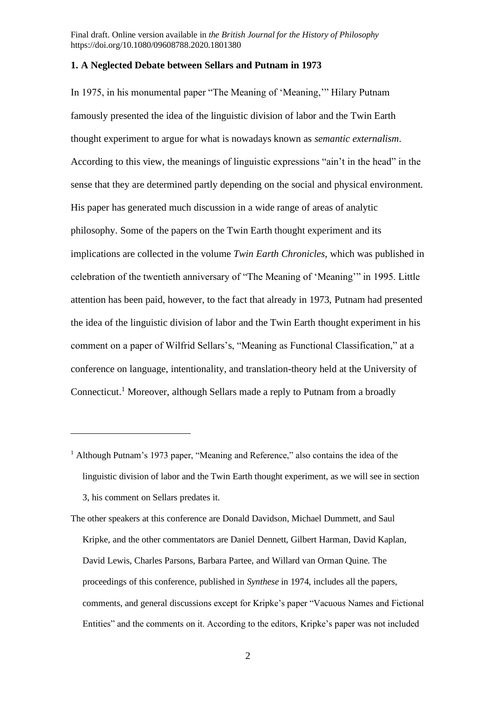### **1. A Neglected Debate between Sellars and Putnam in 1973**

In 1975, in his monumental paper "The Meaning of 'Meaning,'" Hilary Putnam famously presented the idea of the linguistic division of labor and the Twin Earth thought experiment to argue for what is nowadays known as *semantic externalism*. According to this view, the meanings of linguistic expressions "ain't in the head" in the sense that they are determined partly depending on the social and physical environment. His paper has generated much discussion in a wide range of areas of analytic philosophy. Some of the papers on the Twin Earth thought experiment and its implications are collected in the volume *Twin Earth Chronicles*, which was published in celebration of the twentieth anniversary of "The Meaning of 'Meaning'" in 1995. Little attention has been paid, however, to the fact that already in 1973, Putnam had presented the idea of the linguistic division of labor and the Twin Earth thought experiment in his comment on a paper of Wilfrid Sellars's, "Meaning as Functional Classification," at a conference on language, intentionality, and translation-theory held at the University of Connecticut. <sup>1</sup> Moreover, although Sellars made a reply to Putnam from a broadly

The other speakers at this conference are Donald Davidson, Michael Dummett, and Saul Kripke, and the other commentators are Daniel Dennett, Gilbert Harman, David Kaplan, David Lewis, Charles Parsons, Barbara Partee, and Willard van Orman Quine. The proceedings of this conference, published in *Synthese* in 1974, includes all the papers, comments, and general discussions except for Kripke's paper "Vacuous Names and Fictional Entities" and the comments on it. According to the editors, Kripke's paper was not included

 $1$  Although Putnam's 1973 paper, "Meaning and Reference," also contains the idea of the linguistic division of labor and the Twin Earth thought experiment, as we will see in section 3, his comment on Sellars predates it.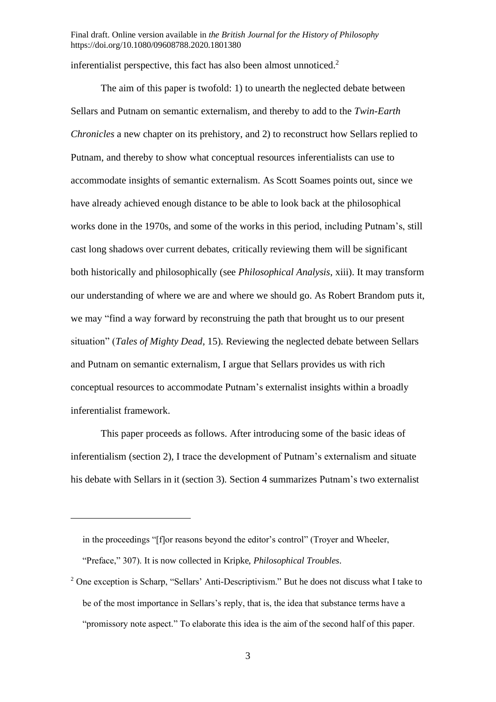inferentialist perspective, this fact has also been almost unnoticed.<sup>2</sup>

The aim of this paper is twofold: 1) to unearth the neglected debate between Sellars and Putnam on semantic externalism, and thereby to add to the *Twin-Earth Chronicles* a new chapter on its prehistory, and 2) to reconstruct how Sellars replied to Putnam, and thereby to show what conceptual resources inferentialists can use to accommodate insights of semantic externalism. As Scott Soames points out, since we have already achieved enough distance to be able to look back at the philosophical works done in the 1970s, and some of the works in this period, including Putnam's, still cast long shadows over current debates, critically reviewing them will be significant both historically and philosophically (see *Philosophical Analysis*, xiii). It may transform our understanding of where we are and where we should go. As Robert Brandom puts it, we may "find a way forward by reconstruing the path that brought us to our present situation" (*Tales of Mighty Dead*, 15). Reviewing the neglected debate between Sellars and Putnam on semantic externalism, I argue that Sellars provides us with rich conceptual resources to accommodate Putnam's externalist insights within a broadly inferentialist framework.

This paper proceeds as follows. After introducing some of the basic ideas of inferentialism (section 2), I trace the development of Putnam's externalism and situate his debate with Sellars in it (section 3). Section 4 summarizes Putnam's two externalist

in the proceedings "[f]or reasons beyond the editor's control" (Troyer and Wheeler, "Preface," 307). It is now collected in Kripke, *Philosophical Troubles*.

<sup>&</sup>lt;sup>2</sup> One exception is Scharp, "Sellars' Anti-Descriptivism." But he does not discuss what I take to be of the most importance in Sellars's reply, that is, the idea that substance terms have a "promissory note aspect." To elaborate this idea is the aim of the second half of this paper.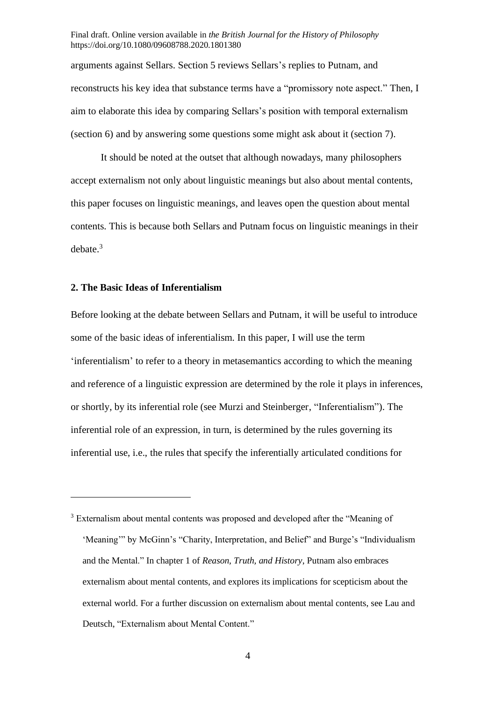arguments against Sellars. Section 5 reviews Sellars's replies to Putnam, and reconstructs his key idea that substance terms have a "promissory note aspect." Then, I aim to elaborate this idea by comparing Sellars's position with temporal externalism (section 6) and by answering some questions some might ask about it (section 7).

It should be noted at the outset that although nowadays, many philosophers accept externalism not only about linguistic meanings but also about mental contents, this paper focuses on linguistic meanings, and leaves open the question about mental contents. This is because both Sellars and Putnam focus on linguistic meanings in their  $debate.<sup>3</sup>$ 

## **2. The Basic Ideas of Inferentialism**

Before looking at the debate between Sellars and Putnam, it will be useful to introduce some of the basic ideas of inferentialism. In this paper, I will use the term 'inferentialism' to refer to a theory in metasemantics according to which the meaning and reference of a linguistic expression are determined by the role it plays in inferences, or shortly, by its inferential role (see Murzi and Steinberger, "Inferentialism"). The inferential role of an expression, in turn, is determined by the rules governing its inferential use, i.e., the rules that specify the inferentially articulated conditions for

 $3$  Externalism about mental contents was proposed and developed after the "Meaning of 'Meaning'" by McGinn's "Charity, Interpretation, and Belief" and Burge's "Individualism and the Mental." In chapter 1 of *Reason, Truth, and History*, Putnam also embraces externalism about mental contents, and explores its implications for scepticism about the external world. For a further discussion on externalism about mental contents, see Lau and Deutsch, "Externalism about Mental Content."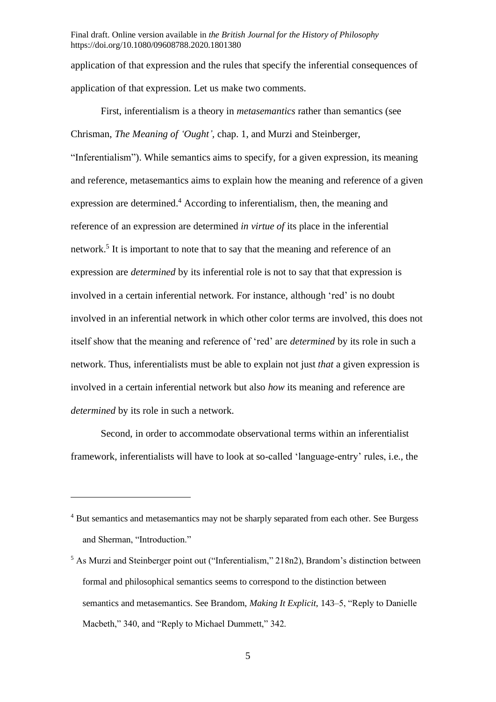application of that expression and the rules that specify the inferential consequences of application of that expression. Let us make two comments.

First, inferentialism is a theory in *metasemantics* rather than semantics (see Chrisman, *The Meaning of 'Ought',* chap. 1, and Murzi and Steinberger,

"Inferentialism"). While semantics aims to specify, for a given expression, its meaning and reference, metasemantics aims to explain how the meaning and reference of a given expression are determined. <sup>4</sup> According to inferentialism, then, the meaning and reference of an expression are determined *in virtue of* its place in the inferential network.<sup>5</sup> It is important to note that to say that the meaning and reference of an expression are *determined* by its inferential role is not to say that that expression is involved in a certain inferential network. For instance, although 'red' is no doubt involved in an inferential network in which other color terms are involved, this does not itself show that the meaning and reference of 'red' are *determined* by its role in such a network. Thus, inferentialists must be able to explain not just *that* a given expression is involved in a certain inferential network but also *how* its meaning and reference are *determined* by its role in such a network.

Second, in order to accommodate observational terms within an inferentialist framework, inferentialists will have to look at so-called 'language-entry' rules, i.e., the

<sup>&</sup>lt;sup>4</sup> But semantics and metasemantics may not be sharply separated from each other. See Burgess and Sherman, "Introduction."

 $<sup>5</sup>$  As Murzi and Steinberger point out ("Inferentialism," 218n2), Brandom's distinction between</sup> formal and philosophical semantics seems to correspond to the distinction between semantics and metasemantics. See Brandom, *Making It Explicit*, 143–5, "Reply to Danielle Macbeth," 340, and "Reply to Michael Dummett," 342.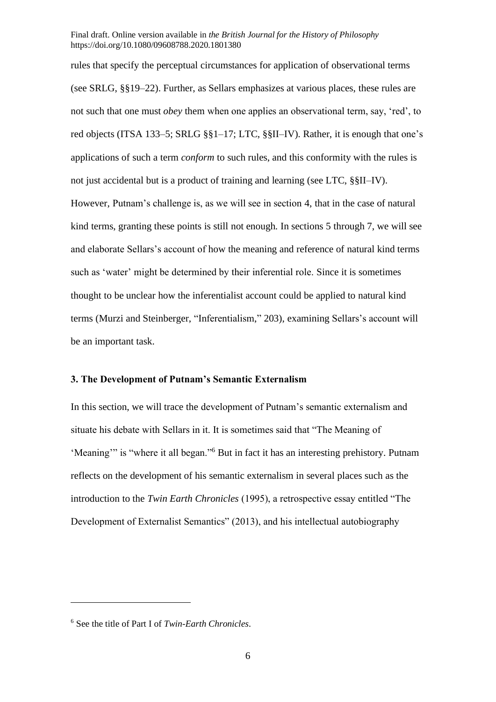rules that specify the perceptual circumstances for application of observational terms (see SRLG, §§19–22). Further, as Sellars emphasizes at various places, these rules are not such that one must *obey* them when one applies an observational term, say, 'red', to red objects (ITSA 133–5; SRLG §§1–17; LTC, §§II–IV). Rather, it is enough that one's applications of such a term *conform* to such rules, and this conformity with the rules is not just accidental but is a product of training and learning (see LTC, §§II–IV). However, Putnam's challenge is, as we will see in section 4, that in the case of natural kind terms, granting these points is still not enough. In sections 5 through 7, we will see and elaborate Sellars's account of how the meaning and reference of natural kind terms such as 'water' might be determined by their inferential role. Since it is sometimes thought to be unclear how the inferentialist account could be applied to natural kind terms (Murzi and Steinberger, "Inferentialism," 203), examining Sellars's account will be an important task.

## **3. The Development of Putnam's Semantic Externalism**

In this section, we will trace the development of Putnam's semantic externalism and situate his debate with Sellars in it. It is sometimes said that "The Meaning of 'Meaning'" is "where it all began."<sup>6</sup> But in fact it has an interesting prehistory. Putnam reflects on the development of his semantic externalism in several places such as the introduction to the *Twin Earth Chronicles* (1995), a retrospective essay entitled "The Development of Externalist Semantics" (2013), and his intellectual autobiography

<sup>6</sup> See the title of Part I of *Twin-Earth Chronicles*.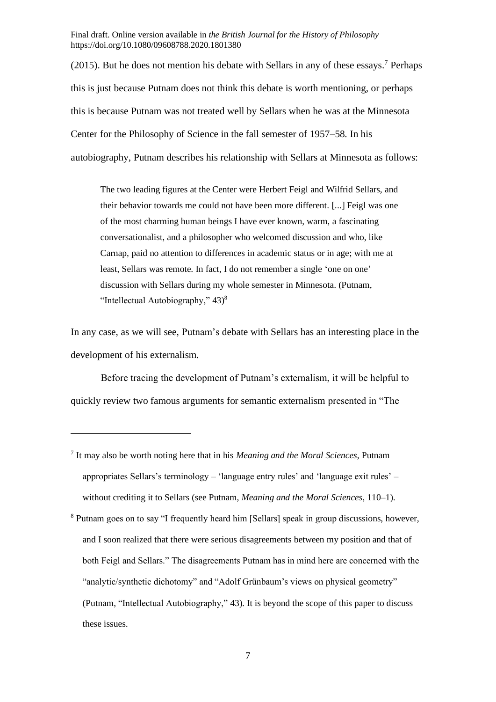(2015). But he does not mention his debate with Sellars in any of these essays. <sup>7</sup> Perhaps this is just because Putnam does not think this debate is worth mentioning, or perhaps this is because Putnam was not treated well by Sellars when he was at the Minnesota Center for the Philosophy of Science in the fall semester of 1957–58. In his autobiography, Putnam describes his relationship with Sellars at Minnesota as follows:

The two leading figures at the Center were Herbert Feigl and Wilfrid Sellars, and their behavior towards me could not have been more different. [...] Feigl was one of the most charming human beings I have ever known, warm, a fascinating conversationalist, and a philosopher who welcomed discussion and who, like Carnap, paid no attention to differences in academic status or in age; with me at least, Sellars was remote. In fact, I do not remember a single 'one on one' discussion with Sellars during my whole semester in Minnesota. (Putnam, "Intellectual Autobiography,"  $43$ <sup>8</sup>

In any case, as we will see, Putnam's debate with Sellars has an interesting place in the development of his externalism.

Before tracing the development of Putnam's externalism, it will be helpful to quickly review two famous arguments for semantic externalism presented in "The

- 7 It may also be worth noting here that in his *Meaning and the Moral Sciences*, Putnam appropriates Sellars's terminology – 'language entry rules' and 'language exit rules' – without crediting it to Sellars (see Putnam, *Meaning and the Moral Sciences*, 110–1).
- <sup>8</sup> Putnam goes on to say "I frequently heard him [Sellars] speak in group discussions, however, and I soon realized that there were serious disagreements between my position and that of both Feigl and Sellars." The disagreements Putnam has in mind here are concerned with the "analytic/synthetic dichotomy" and "Adolf Grünbaum's views on physical geometry" (Putnam, "Intellectual Autobiography," 43). It is beyond the scope of this paper to discuss these issues.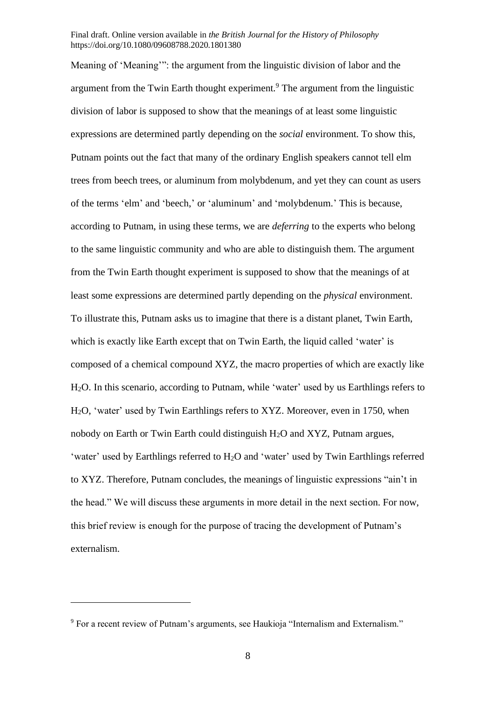Meaning of 'Meaning'": the argument from the linguistic division of labor and the argument from the Twin Earth thought experiment.<sup>9</sup> The argument from the linguistic division of labor is supposed to show that the meanings of at least some linguistic expressions are determined partly depending on the *social* environment. To show this, Putnam points out the fact that many of the ordinary English speakers cannot tell elm trees from beech trees, or aluminum from molybdenum, and yet they can count as users of the terms 'elm' and 'beech,' or 'aluminum' and 'molybdenum.' This is because, according to Putnam, in using these terms, we are *deferring* to the experts who belong to the same linguistic community and who are able to distinguish them. The argument from the Twin Earth thought experiment is supposed to show that the meanings of at least some expressions are determined partly depending on the *physical* environment. To illustrate this, Putnam asks us to imagine that there is a distant planet, Twin Earth, which is exactly like Earth except that on Twin Earth, the liquid called 'water' is composed of a chemical compound XYZ, the macro properties of which are exactly like H2O. In this scenario, according to Putnam, while 'water' used by us Earthlings refers to H2O, 'water' used by Twin Earthlings refers to XYZ. Moreover, even in 1750, when nobody on Earth or Twin Earth could distinguish  $H_2O$  and XYZ, Putnam argues, 'water' used by Earthlings referred to H2O and 'water' used by Twin Earthlings referred to XYZ. Therefore, Putnam concludes, the meanings of linguistic expressions "ain't in the head." We will discuss these arguments in more detail in the next section. For now, this brief review is enough for the purpose of tracing the development of Putnam's externalism.

<sup>9</sup> For a recent review of Putnam's arguments, see Haukioja "Internalism and Externalism."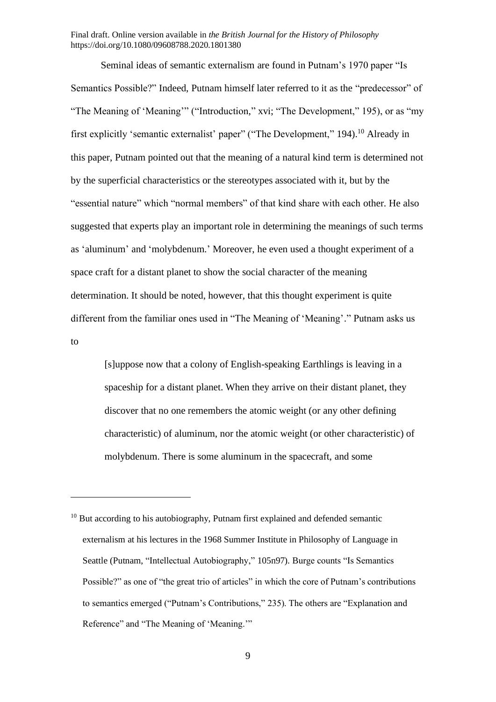Seminal ideas of semantic externalism are found in Putnam's 1970 paper "Is Semantics Possible?" Indeed, Putnam himself later referred to it as the "predecessor" of "The Meaning of 'Meaning'" ("Introduction," xvi; "The Development," 195), or as "my first explicitly 'semantic externalist' paper" ("The Development," 194).<sup>10</sup> Already in this paper, Putnam pointed out that the meaning of a natural kind term is determined not by the superficial characteristics or the stereotypes associated with it, but by the "essential nature" which "normal members" of that kind share with each other. He also suggested that experts play an important role in determining the meanings of such terms as 'aluminum' and 'molybdenum.' Moreover, he even used a thought experiment of a space craft for a distant planet to show the social character of the meaning determination. It should be noted, however, that this thought experiment is quite different from the familiar ones used in "The Meaning of 'Meaning'." Putnam asks us to

[s]uppose now that a colony of English-speaking Earthlings is leaving in a spaceship for a distant planet. When they arrive on their distant planet, they discover that no one remembers the atomic weight (or any other defining characteristic) of aluminum, nor the atomic weight (or other characteristic) of molybdenum. There is some aluminum in the spacecraft, and some

 $10$  But according to his autobiography. Putnam first explained and defended semantic externalism at his lectures in the 1968 Summer Institute in Philosophy of Language in Seattle (Putnam, "Intellectual Autobiography," 105n97). Burge counts "Is Semantics Possible?" as one of "the great trio of articles" in which the core of Putnam's contributions to semantics emerged ("Putnam's Contributions," 235). The others are "Explanation and Reference" and "The Meaning of 'Meaning.'"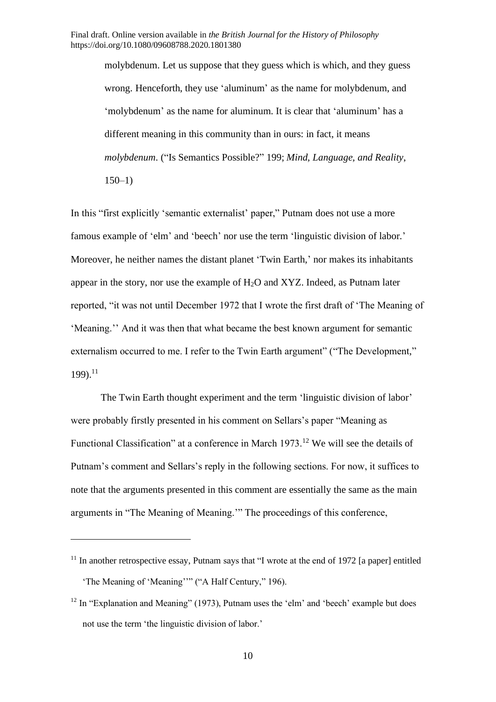molybdenum. Let us suppose that they guess which is which, and they guess wrong. Henceforth, they use 'aluminum' as the name for molybdenum, and 'molybdenum' as the name for aluminum. It is clear that 'aluminum' has a different meaning in this community than in ours: in fact, it means *molybdenum*. ("Is Semantics Possible?" 199; *Mind, Language, and Reality*, 150–1)

In this "first explicitly 'semantic externalist' paper," Putnam does not use a more famous example of 'elm' and 'beech' nor use the term 'linguistic division of labor.' Moreover, he neither names the distant planet 'Twin Earth,' nor makes its inhabitants appear in the story, nor use the example of  $H_2O$  and XYZ. Indeed, as Putnam later reported, "it was not until December 1972 that I wrote the first draft of 'The Meaning of 'Meaning.'' And it was then that what became the best known argument for semantic externalism occurred to me. I refer to the Twin Earth argument" ("The Development," 199).<sup>11</sup>

The Twin Earth thought experiment and the term 'linguistic division of labor' were probably firstly presented in his comment on Sellars's paper "Meaning as Functional Classification" at a conference in March 1973.<sup>12</sup> We will see the details of Putnam's comment and Sellars's reply in the following sections. For now, it suffices to note that the arguments presented in this comment are essentially the same as the main arguments in "The Meaning of Meaning.'" The proceedings of this conference,

<sup>&</sup>lt;sup>11</sup> In another retrospective essay, Putnam says that "I wrote at the end of 1972 [a paper] entitled 'The Meaning of 'Meaning''" ("A Half Century," 196).

 $12$  In "Explanation and Meaning" (1973), Putnam uses the 'elm' and 'beech' example but does not use the term 'the linguistic division of labor.'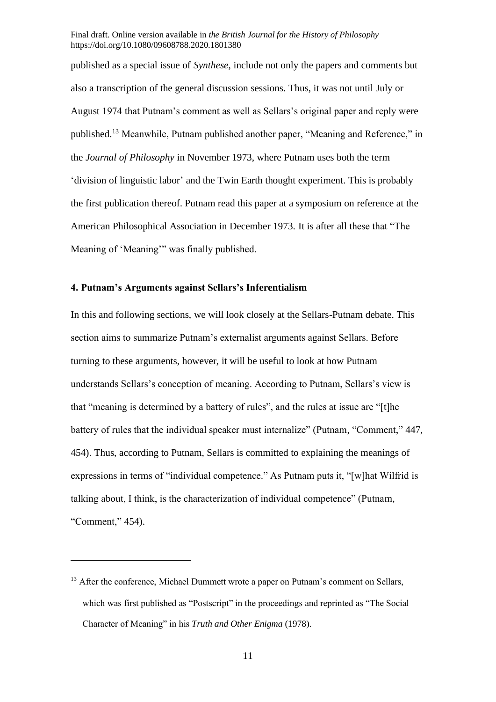published as a special issue of *Synthese*, include not only the papers and comments but also a transcription of the general discussion sessions. Thus, it was not until July or August 1974 that Putnam's comment as well as Sellars's original paper and reply were published.<sup>13</sup> Meanwhile, Putnam published another paper, "Meaning and Reference," in the *Journal of Philosophy* in November 1973, where Putnam uses both the term 'division of linguistic labor' and the Twin Earth thought experiment. This is probably the first publication thereof. Putnam read this paper at a symposium on reference at the American Philosophical Association in December 1973. It is after all these that "The Meaning of 'Meaning'" was finally published.

# **4. Putnam's Arguments against Sellars's Inferentialism**

In this and following sections, we will look closely at the Sellars-Putnam debate. This section aims to summarize Putnam's externalist arguments against Sellars. Before turning to these arguments, however, it will be useful to look at how Putnam understands Sellars's conception of meaning. According to Putnam, Sellars's view is that "meaning is determined by a battery of rules", and the rules at issue are "[t]he battery of rules that the individual speaker must internalize" (Putnam, "Comment," 447, 454). Thus, according to Putnam, Sellars is committed to explaining the meanings of expressions in terms of "individual competence." As Putnam puts it, "[w]hat Wilfrid is talking about, I think, is the characterization of individual competence" (Putnam, "Comment," 454).

<sup>&</sup>lt;sup>13</sup> After the conference, Michael Dummett wrote a paper on Putnam's comment on Sellars, which was first published as "Postscript" in the proceedings and reprinted as "The Social Character of Meaning" in his *Truth and Other Enigma* (1978).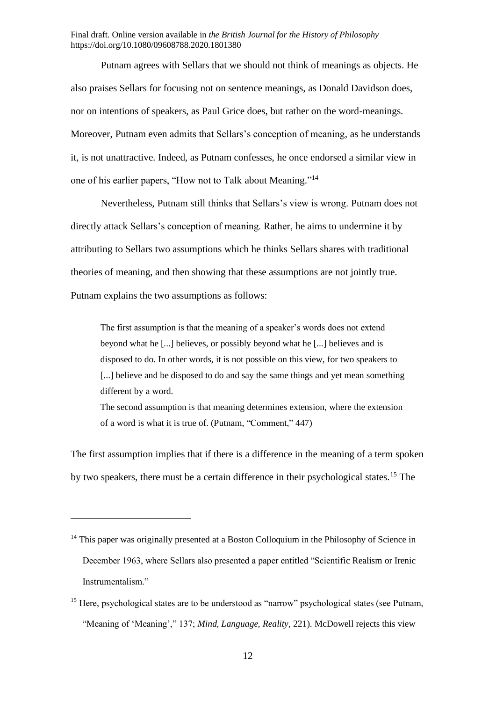Putnam agrees with Sellars that we should not think of meanings as objects. He also praises Sellars for focusing not on sentence meanings, as Donald Davidson does, nor on intentions of speakers, as Paul Grice does, but rather on the word-meanings. Moreover, Putnam even admits that Sellars's conception of meaning, as he understands it, is not unattractive. Indeed, as Putnam confesses, he once endorsed a similar view in one of his earlier papers, "How not to Talk about Meaning."<sup>14</sup>

Nevertheless, Putnam still thinks that Sellars's view is wrong. Putnam does not directly attack Sellars's conception of meaning. Rather, he aims to undermine it by attributing to Sellars two assumptions which he thinks Sellars shares with traditional theories of meaning, and then showing that these assumptions are not jointly true. Putnam explains the two assumptions as follows:

The first assumption is that the meaning of a speaker's words does not extend beyond what he [...] believes, or possibly beyond what he [...] believes and is disposed to do. In other words, it is not possible on this view, for two speakers to [...] believe and be disposed to do and say the same things and yet mean something different by a word.

The second assumption is that meaning determines extension, where the extension of a word is what it is true of. (Putnam, "Comment," 447)

The first assumption implies that if there is a difference in the meaning of a term spoken by two speakers, there must be a certain difference in their psychological states.<sup>15</sup> The

 $14$  This paper was originally presented at a Boston Colloquium in the Philosophy of Science in December 1963, where Sellars also presented a paper entitled "Scientific Realism or Irenic Instrumentalism."

<sup>&</sup>lt;sup>15</sup> Here, psychological states are to be understood as "narrow" psychological states (see Putnam, "Meaning of 'Meaning'," 137; *Mind, Language, Reality*, 221). McDowell rejects this view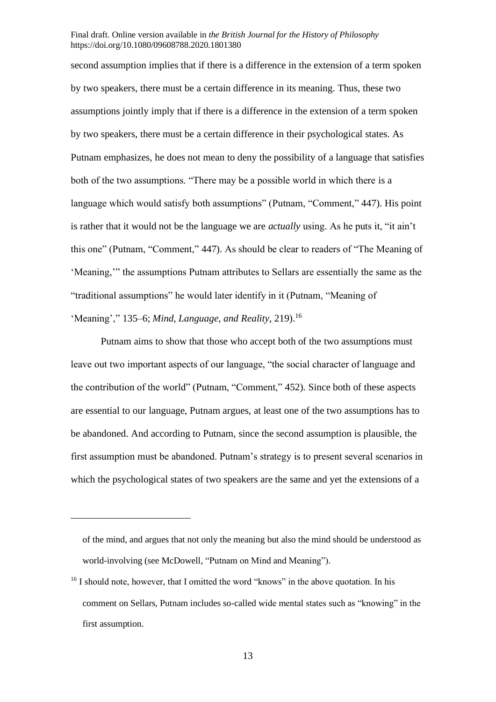second assumption implies that if there is a difference in the extension of a term spoken by two speakers, there must be a certain difference in its meaning. Thus, these two assumptions jointly imply that if there is a difference in the extension of a term spoken by two speakers, there must be a certain difference in their psychological states. As Putnam emphasizes, he does not mean to deny the possibility of a language that satisfies both of the two assumptions. "There may be a possible world in which there is a language which would satisfy both assumptions" (Putnam, "Comment," 447). His point is rather that it would not be the language we are *actually* using. As he puts it, "it ain't this one" (Putnam, "Comment," 447). As should be clear to readers of "The Meaning of 'Meaning,'" the assumptions Putnam attributes to Sellars are essentially the same as the "traditional assumptions" he would later identify in it (Putnam, "Meaning of 'Meaning'," 135–6; *Mind, Language, and Reality*, 219).<sup>16</sup>

Putnam aims to show that those who accept both of the two assumptions must leave out two important aspects of our language, "the social character of language and the contribution of the world" (Putnam, "Comment," 452). Since both of these aspects are essential to our language, Putnam argues, at least one of the two assumptions has to be abandoned. And according to Putnam, since the second assumption is plausible, the first assumption must be abandoned. Putnam's strategy is to present several scenarios in which the psychological states of two speakers are the same and yet the extensions of a

of the mind, and argues that not only the meaning but also the mind should be understood as world-involving (see McDowell, "Putnam on Mind and Meaning").

<sup>&</sup>lt;sup>16</sup> I should note, however, that I omitted the word "knows" in the above quotation. In his comment on Sellars, Putnam includes so-called wide mental states such as "knowing" in the first assumption.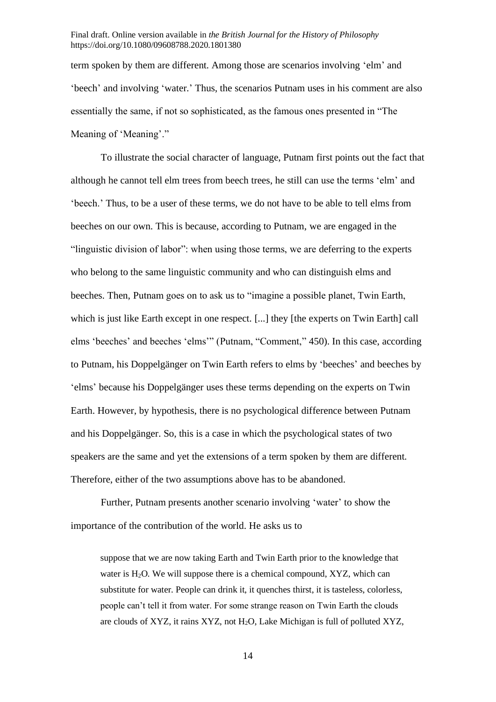term spoken by them are different. Among those are scenarios involving 'elm' and 'beech' and involving 'water.' Thus, the scenarios Putnam uses in his comment are also essentially the same, if not so sophisticated, as the famous ones presented in "The Meaning of 'Meaning'."

To illustrate the social character of language, Putnam first points out the fact that although he cannot tell elm trees from beech trees, he still can use the terms 'elm' and 'beech.' Thus, to be a user of these terms, we do not have to be able to tell elms from beeches on our own. This is because, according to Putnam, we are engaged in the "linguistic division of labor": when using those terms, we are deferring to the experts who belong to the same linguistic community and who can distinguish elms and beeches. Then, Putnam goes on to ask us to "imagine a possible planet, Twin Earth, which is just like Earth except in one respect. [...] they [the experts on Twin Earth] call elms 'beeches' and beeches 'elms'" (Putnam, "Comment," 450). In this case, according to Putnam, his Doppelgänger on Twin Earth refers to elms by 'beeches' and beeches by 'elms' because his Doppelgänger uses these terms depending on the experts on Twin Earth. However, by hypothesis, there is no psychological difference between Putnam and his Doppelgänger. So, this is a case in which the psychological states of two speakers are the same and yet the extensions of a term spoken by them are different. Therefore, either of the two assumptions above has to be abandoned.

Further, Putnam presents another scenario involving 'water' to show the importance of the contribution of the world. He asks us to

suppose that we are now taking Earth and Twin Earth prior to the knowledge that water is  $H_2O$ . We will suppose there is a chemical compound, XYZ, which can substitute for water. People can drink it, it quenches thirst, it is tasteless, colorless, people can't tell it from water. For some strange reason on Twin Earth the clouds are clouds of XYZ, it rains XYZ, not  $H_2O$ , Lake Michigan is full of polluted XYZ,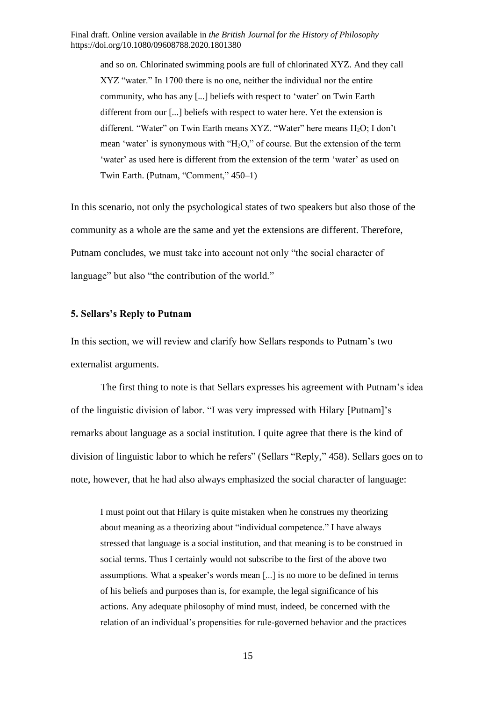and so on. Chlorinated swimming pools are full of chlorinated XYZ. And they call XYZ "water." In 1700 there is no one, neither the individual nor the entire community, who has any [...] beliefs with respect to 'water' on Twin Earth different from our [...] beliefs with respect to water here. Yet the extension is different. "Water" on Twin Earth means XYZ. "Water" here means H<sub>2</sub>O; I don't mean 'water' is synonymous with "H<sub>2</sub>O," of course. But the extension of the term 'water' as used here is different from the extension of the term 'water' as used on Twin Earth. (Putnam, "Comment," 450–1)

In this scenario, not only the psychological states of two speakers but also those of the community as a whole are the same and yet the extensions are different. Therefore, Putnam concludes, we must take into account not only "the social character of language" but also "the contribution of the world."

# **5. Sellars's Reply to Putnam**

In this section, we will review and clarify how Sellars responds to Putnam's two externalist arguments.

The first thing to note is that Sellars expresses his agreement with Putnam's idea of the linguistic division of labor. "I was very impressed with Hilary [Putnam]'s remarks about language as a social institution. I quite agree that there is the kind of division of linguistic labor to which he refers" (Sellars "Reply," 458). Sellars goes on to note, however, that he had also always emphasized the social character of language:

I must point out that Hilary is quite mistaken when he construes my theorizing about meaning as a theorizing about "individual competence." I have always stressed that language is a social institution, and that meaning is to be construed in social terms. Thus I certainly would not subscribe to the first of the above two assumptions. What a speaker's words mean [...] is no more to be defined in terms of his beliefs and purposes than is, for example, the legal significance of his actions. Any adequate philosophy of mind must, indeed, be concerned with the relation of an individual's propensities for rule-governed behavior and the practices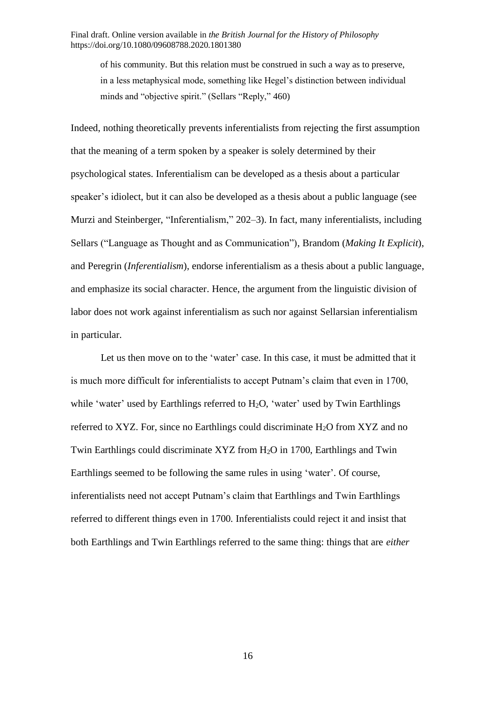of his community. But this relation must be construed in such a way as to preserve, in a less metaphysical mode, something like Hegel's distinction between individual minds and "objective spirit." (Sellars "Reply," 460)

Indeed, nothing theoretically prevents inferentialists from rejecting the first assumption that the meaning of a term spoken by a speaker is solely determined by their psychological states. Inferentialism can be developed as a thesis about a particular speaker's idiolect, but it can also be developed as a thesis about a public language (see Murzi and Steinberger, "Inferentialism," 202–3). In fact, many inferentialists, including Sellars ("Language as Thought and as Communication"), Brandom (*Making It Explicit*), and Peregrin (*Inferentialism*), endorse inferentialism as a thesis about a public language, and emphasize its social character. Hence, the argument from the linguistic division of labor does not work against inferentialism as such nor against Sellarsian inferentialism in particular.

Let us then move on to the 'water' case. In this case, it must be admitted that it is much more difficult for inferentialists to accept Putnam's claim that even in 1700, while 'water' used by Earthlings referred to  $H_2O$ , 'water' used by Twin Earthlings referred to XYZ. For, since no Earthlings could discriminate H<sub>2</sub>O from XYZ and no Twin Earthlings could discriminate XYZ from H2O in 1700, Earthlings and Twin Earthlings seemed to be following the same rules in using 'water'. Of course, inferentialists need not accept Putnam's claim that Earthlings and Twin Earthlings referred to different things even in 1700. Inferentialists could reject it and insist that both Earthlings and Twin Earthlings referred to the same thing: things that are *either*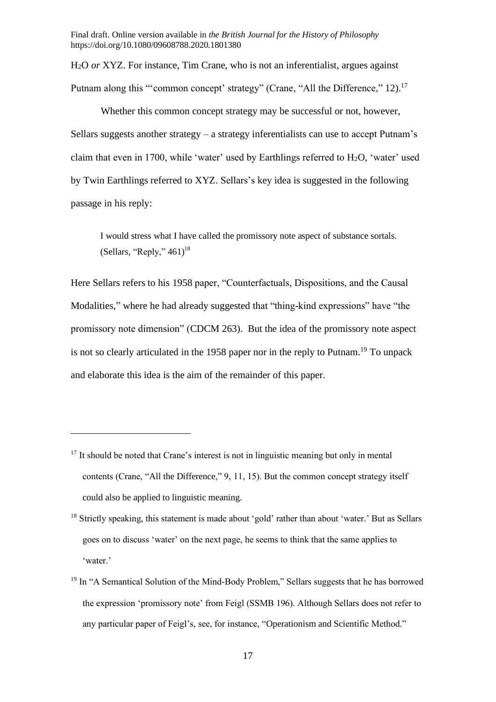H2O *or* XYZ. For instance, Tim Crane, who is not an inferentialist, argues against Putnam along this "'common concept' strategy" (Crane, "All the Difference," 12).<sup>17</sup>

Whether this common concept strategy may be successful or not, however, Sellars suggests another strategy – a strategy inferentialists can use to accept Putnam's claim that even in 1700, while 'water' used by Earthlings referred to  $H_2O$ , 'water' used by Twin Earthlings referred to XYZ. Sellars's key idea is suggested in the following passage in his reply:

I would stress what I have called the promissory note aspect of substance sortals. (Sellars, "Reply,"  $461$ )<sup>18</sup>

Here Sellars refers to his 1958 paper, "Counterfactuals, Dispositions, and the Causal Modalities," where he had already suggested that "thing-kind expressions" have "the promissory note dimension" (CDCM 263). But the idea of the promissory note aspect is not so clearly articulated in the 1958 paper nor in the reply to Putnam.<sup>19</sup> To unpack and elaborate this idea is the aim of the remainder of this paper.

 $18$  Strictly speaking, this statement is made about 'gold' rather than about 'water.' But as Sellars goes on to discuss 'water' on the next page, he seems to think that the same applies to 'water.'

 $17$  It should be noted that Crane's interest is not in linguistic meaning but only in mental contents (Crane, "All the Difference," 9, 11, 15). But the common concept strategy itself could also be applied to linguistic meaning.

 $19$  In "A Semantical Solution of the Mind-Body Problem," Sellars suggests that he has borrowed the expression 'promissory note' from Feigl (SSMB 196). Although Sellars does not refer to any particular paper of Feigl's, see, for instance, "Operationism and Scientific Method."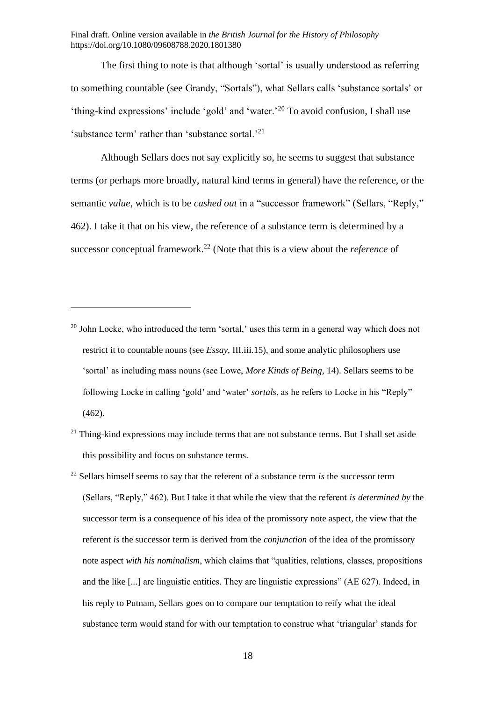The first thing to note is that although 'sortal' is usually understood as referring to something countable (see Grandy, "Sortals"), what Sellars calls 'substance sortals' or 'thing-kind expressions' include 'gold' and 'water.'<sup>20</sup> To avoid confusion, I shall use 'substance term' rather than 'substance sortal.'<sup>21</sup>

Although Sellars does not say explicitly so, he seems to suggest that substance terms (or perhaps more broadly, natural kind terms in general) have the reference, or the semantic *value*, which is to be *cashed out* in a "successor framework" (Sellars, "Reply," 462). I take it that on his view, the reference of a substance term is determined by a successor conceptual framework.<sup>22</sup> (Note that this is a view about the *reference* of

- $20$  John Locke, who introduced the term 'sortal,' uses this term in a general way which does not restrict it to countable nouns (see *Essay*, III.iii.15), and some analytic philosophers use 'sortal' as including mass nouns (see Lowe, *More Kinds of Being*, 14). Sellars seems to be following Locke in calling 'gold' and 'water' *sortals*, as he refers to Locke in his "Reply" (462).
- $21$  Thing-kind expressions may include terms that are not substance terms. But I shall set aside this possibility and focus on substance terms.
- <sup>22</sup> Sellars himself seems to say that the referent of a substance term *is* the successor term (Sellars, "Reply," 462). But I take it that while the view that the referent *is determined by* the successor term is a consequence of his idea of the promissory note aspect, the view that the referent *is* the successor term is derived from the *conjunction* of the idea of the promissory note aspect *with his nominalism*, which claims that "qualities, relations, classes, propositions and the like [...] are linguistic entities. They are linguistic expressions" (AE 627). Indeed, in his reply to Putnam, Sellars goes on to compare our temptation to reify what the ideal substance term would stand for with our temptation to construe what 'triangular' stands for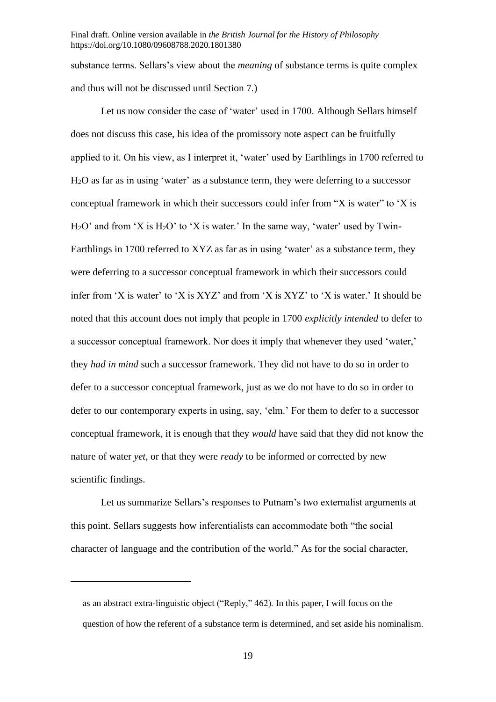substance terms. Sellars's view about the *meaning* of substance terms is quite complex and thus will not be discussed until Section 7.)

Let us now consider the case of 'water' used in 1700. Although Sellars himself does not discuss this case, his idea of the promissory note aspect can be fruitfully applied to it. On his view, as I interpret it, 'water' used by Earthlings in 1700 referred to H2O as far as in using 'water' as a substance term, they were deferring to a successor conceptual framework in which their successors could infer from "X is water" to 'X is  $H<sub>2</sub>O'$  and from 'X is  $H<sub>2</sub>O'$  to 'X is water.' In the same way, 'water' used by Twin-Earthlings in 1700 referred to XYZ as far as in using 'water' as a substance term, they were deferring to a successor conceptual framework in which their successors could infer from 'X is water' to 'X is XYZ' and from 'X is XYZ' to 'X is water.' It should be noted that this account does not imply that people in 1700 *explicitly intended* to defer to a successor conceptual framework. Nor does it imply that whenever they used 'water,' they *had in mind* such a successor framework. They did not have to do so in order to defer to a successor conceptual framework, just as we do not have to do so in order to defer to our contemporary experts in using, say, 'elm.' For them to defer to a successor conceptual framework, it is enough that they *would* have said that they did not know the nature of water *yet*, or that they were *ready* to be informed or corrected by new scientific findings.

Let us summarize Sellars's responses to Putnam's two externalist arguments at this point. Sellars suggests how inferentialists can accommodate both "the social character of language and the contribution of the world." As for the social character,

as an abstract extra-linguistic object ("Reply," 462). In this paper, I will focus on the question of how the referent of a substance term is determined, and set aside his nominalism.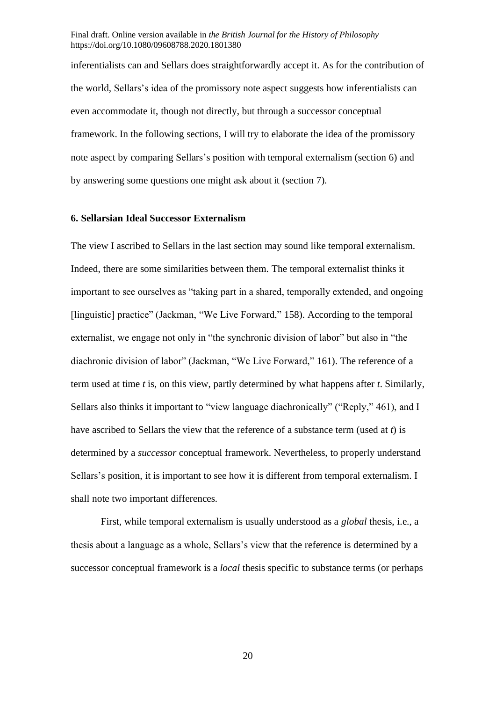inferentialists can and Sellars does straightforwardly accept it. As for the contribution of the world, Sellars's idea of the promissory note aspect suggests how inferentialists can even accommodate it, though not directly, but through a successor conceptual framework. In the following sections, I will try to elaborate the idea of the promissory note aspect by comparing Sellars's position with temporal externalism (section 6) and by answering some questions one might ask about it (section 7).

## **6. Sellarsian Ideal Successor Externalism**

The view I ascribed to Sellars in the last section may sound like temporal externalism. Indeed, there are some similarities between them. The temporal externalist thinks it important to see ourselves as "taking part in a shared, temporally extended, and ongoing [linguistic] practice" (Jackman, "We Live Forward," 158). According to the temporal externalist, we engage not only in "the synchronic division of labor" but also in "the diachronic division of labor" (Jackman, "We Live Forward," 161). The reference of a term used at time *t* is, on this view, partly determined by what happens after *t*. Similarly, Sellars also thinks it important to "view language diachronically" ("Reply," 461), and I have ascribed to Sellars the view that the reference of a substance term (used at *t*) is determined by a *successor* conceptual framework. Nevertheless, to properly understand Sellars's position, it is important to see how it is different from temporal externalism. I shall note two important differences.

First, while temporal externalism is usually understood as a *global* thesis, i.e., a thesis about a language as a whole, Sellars's view that the reference is determined by a successor conceptual framework is a *local* thesis specific to substance terms (or perhaps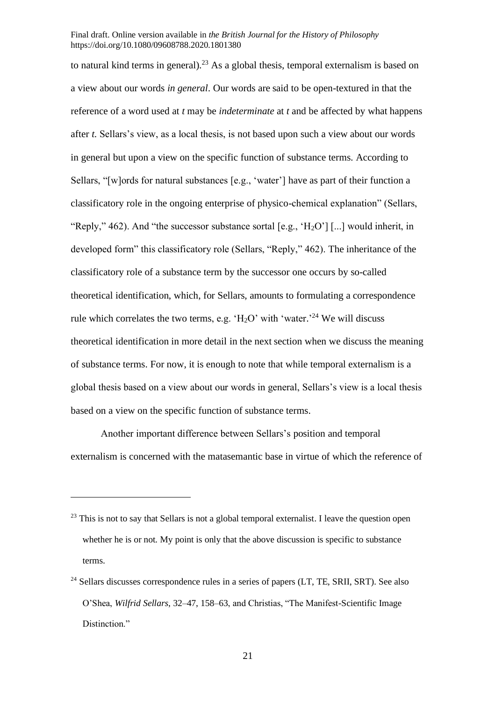to natural kind terms in general).<sup>23</sup> As a global thesis, temporal externalism is based on a view about our words *in general*. Our words are said to be open-textured in that the reference of a word used at *t* may be *indeterminate* at *t* and be affected by what happens after *t*. Sellars's view, as a local thesis, is not based upon such a view about our words in general but upon a view on the specific function of substance terms. According to Sellars, "[w]ords for natural substances [e.g., 'water'] have as part of their function a classificatory role in the ongoing enterprise of physico-chemical explanation" (Sellars, "Reply," 462). And "the successor substance sortal  $[e.g., 'H<sub>2</sub>O']$  [...] would inherit, in developed form" this classificatory role (Sellars, "Reply," 462). The inheritance of the classificatory role of a substance term by the successor one occurs by so-called theoretical identification, which, for Sellars, amounts to formulating a correspondence rule which correlates the two terms, e.g. ' $H_2O'$ ' with 'water.<sup>24</sup> We will discuss theoretical identification in more detail in the next section when we discuss the meaning of substance terms. For now, it is enough to note that while temporal externalism is a global thesis based on a view about our words in general, Sellars's view is a local thesis based on a view on the specific function of substance terms.

Another important difference between Sellars's position and temporal externalism is concerned with the matasemantic base in virtue of which the reference of

 $^{23}$  This is not to say that Sellars is not a global temporal externalist. I leave the question open whether he is or not. My point is only that the above discussion is specific to substance terms.

 $^{24}$  Sellars discusses correspondence rules in a series of papers (LT, TE, SRII, SRT). See also O'Shea, *Wilfrid Sellars*, 32–47, 158–63, and Christias, "The Manifest-Scientific Image Distinction."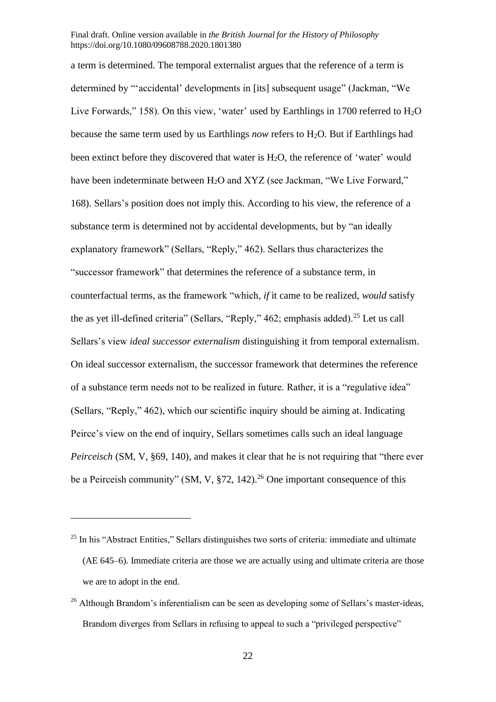a term is determined. The temporal externalist argues that the reference of a term is determined by "'accidental' developments in [its] subsequent usage" (Jackman, "We Live Forwards," 158). On this view, 'water' used by Earthlings in 1700 referred to  $H_2O$ because the same term used by us Earthlings *now* refers to H<sub>2</sub>O. But if Earthlings had been extinct before they discovered that water is  $H_2O$ , the reference of 'water' would have been indeterminate between  $H_2O$  and XYZ (see Jackman, "We Live Forward," 168). Sellars's position does not imply this. According to his view, the reference of a substance term is determined not by accidental developments, but by "an ideally explanatory framework" (Sellars, "Reply," 462). Sellars thus characterizes the "successor framework" that determines the reference of a substance term, in counterfactual terms, as the framework "which, *if* it came to be realized, *would* satisfy the as yet ill-defined criteria" (Sellars, "Reply,"  $462$ ; emphasis added).<sup>25</sup> Let us call Sellars's view *ideal successor externalism* distinguishing it from temporal externalism. On ideal successor externalism, the successor framework that determines the reference of a substance term needs not to be realized in future. Rather, it is a "regulative idea" (Sellars, "Reply," 462), which our scientific inquiry should be aiming at. Indicating Peirce's view on the end of inquiry, Sellars sometimes calls such an ideal language *Peirceisch* (SM, V, §69, 140), and makes it clear that he is not requiring that "there ever be a Peirceish community" (SM, V,  $\S$ 72, 142).<sup>26</sup> One important consequence of this

 $25$  In his "Abstract Entities," Sellars distinguishes two sorts of criteria: immediate and ultimate (AE 645–6). Immediate criteria are those we are actually using and ultimate criteria are those we are to adopt in the end.

 $26$  Although Brandom's inferentialism can be seen as developing some of Sellars's master-ideas, Brandom diverges from Sellars in refusing to appeal to such a "privileged perspective"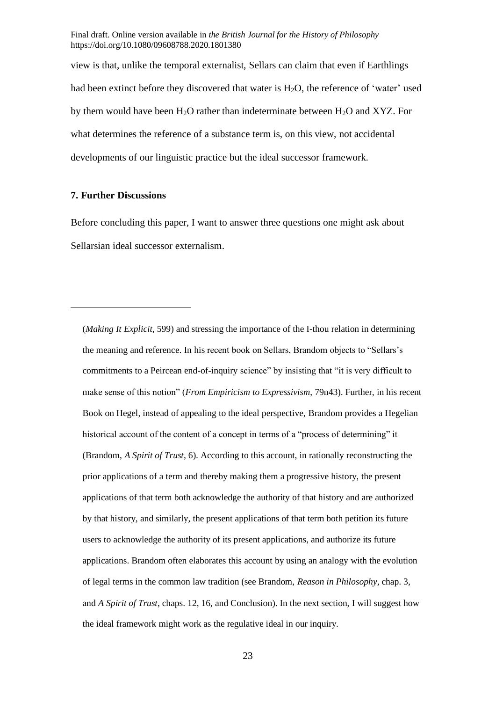view is that, unlike the temporal externalist, Sellars can claim that even if Earthlings had been extinct before they discovered that water is  $H_2O$ , the reference of 'water' used by them would have been  $H_2O$  rather than indeterminate between  $H_2O$  and XYZ. For what determines the reference of a substance term is, on this view, not accidental developments of our linguistic practice but the ideal successor framework.

## **7. Further Discussions**

Before concluding this paper, I want to answer three questions one might ask about Sellarsian ideal successor externalism.

(*Making It Explicit*, 599) and stressing the importance of the I-thou relation in determining the meaning and reference. In his recent book on Sellars, Brandom objects to "Sellars's commitments to a Peircean end-of-inquiry science" by insisting that "it is very difficult to make sense of this notion" (*From Empiricism to Expressivism*, 79n43). Further, in his recent Book on Hegel, instead of appealing to the ideal perspective, Brandom provides a Hegelian historical account of the content of a concept in terms of a "process of determining" it (Brandom, *A Spirit of Trust*, 6). According to this account, in rationally reconstructing the prior applications of a term and thereby making them a progressive history, the present applications of that term both acknowledge the authority of that history and are authorized by that history, and similarly, the present applications of that term both petition its future users to acknowledge the authority of its present applications, and authorize its future applications. Brandom often elaborates this account by using an analogy with the evolution of legal terms in the common law tradition (see Brandom, *Reason in Philosophy*, chap. 3, and *A Spirit of Trust*, chaps. 12, 16, and Conclusion). In the next section, I will suggest how the ideal framework might work as the regulative ideal in our inquiry.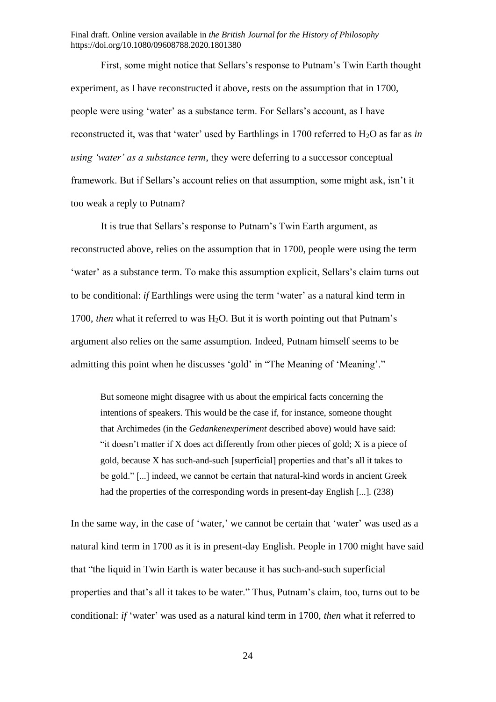First, some might notice that Sellars's response to Putnam's Twin Earth thought experiment, as I have reconstructed it above, rests on the assumption that in 1700, people were using 'water' as a substance term. For Sellars's account, as I have reconstructed it, was that 'water' used by Earthlings in 1700 referred to H2O as far as *in using 'water' as a substance term*, they were deferring to a successor conceptual framework. But if Sellars's account relies on that assumption, some might ask, isn't it too weak a reply to Putnam?

It is true that Sellars's response to Putnam's Twin Earth argument, as reconstructed above, relies on the assumption that in 1700, people were using the term 'water' as a substance term. To make this assumption explicit, Sellars's claim turns out to be conditional: *if* Earthlings were using the term 'water' as a natural kind term in 1700, *then* what it referred to was  $H_2O$ . But it is worth pointing out that Putnam's argument also relies on the same assumption. Indeed, Putnam himself seems to be admitting this point when he discusses 'gold' in "The Meaning of 'Meaning'."

But someone might disagree with us about the empirical facts concerning the intentions of speakers. This would be the case if, for instance, someone thought that Archimedes (in the *Gedankenexperiment* described above) would have said: "it doesn't matter if  $X$  does act differently from other pieces of gold;  $X$  is a piece of gold, because X has such-and-such [superficial] properties and that's all it takes to be gold." [...] indeed, we cannot be certain that natural-kind words in ancient Greek had the properties of the corresponding words in present-day English [...]. (238)

In the same way, in the case of 'water,' we cannot be certain that 'water' was used as a natural kind term in 1700 as it is in present-day English. People in 1700 might have said that "the liquid in Twin Earth is water because it has such-and-such superficial properties and that's all it takes to be water." Thus, Putnam's claim, too, turns out to be conditional: *if* 'water' was used as a natural kind term in 1700, *then* what it referred to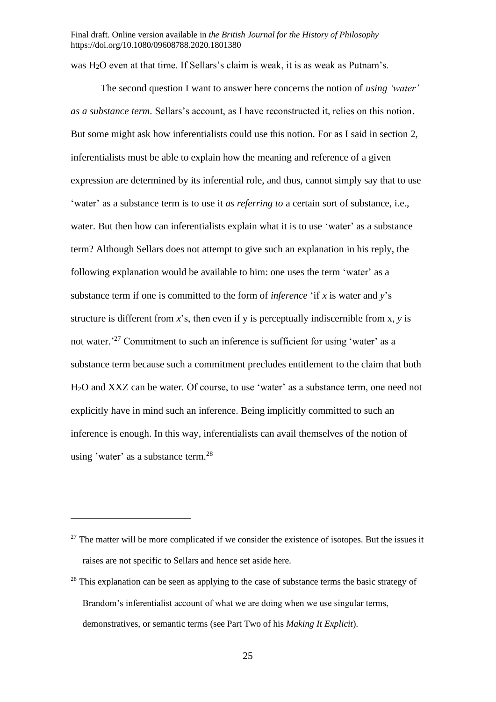was H2O even at that time. If Sellars's claim is weak, it is as weak as Putnam's.

The second question I want to answer here concerns the notion of *using 'water' as a substance term*. Sellars's account, as I have reconstructed it, relies on this notion. But some might ask how inferentialists could use this notion. For as I said in section 2, inferentialists must be able to explain how the meaning and reference of a given expression are determined by its inferential role, and thus, cannot simply say that to use 'water' as a substance term is to use it *as referring to* a certain sort of substance, i.e., water. But then how can inferentialists explain what it is to use 'water' as a substance term? Although Sellars does not attempt to give such an explanation in his reply, the following explanation would be available to him: one uses the term 'water' as a substance term if one is committed to the form of *inference* 'if *x* is water and *y*'s structure is different from  $x$ 's, then even if y is perceptually indiscernible from  $x$ ,  $y$  is not water.<sup>27</sup> Commitment to such an inference is sufficient for using 'water' as a substance term because such a commitment precludes entitlement to the claim that both H2O and XXZ can be water. Of course, to use 'water' as a substance term, one need not explicitly have in mind such an inference. Being implicitly committed to such an inference is enough. In this way, inferentialists can avail themselves of the notion of using 'water' as a substance term.<sup>28</sup>

 $27$  The matter will be more complicated if we consider the existence of isotopes. But the issues it raises are not specific to Sellars and hence set aside here.

 $28$  This explanation can be seen as applying to the case of substance terms the basic strategy of Brandom's inferentialist account of what we are doing when we use singular terms, demonstratives, or semantic terms (see Part Two of his *Making It Explicit*).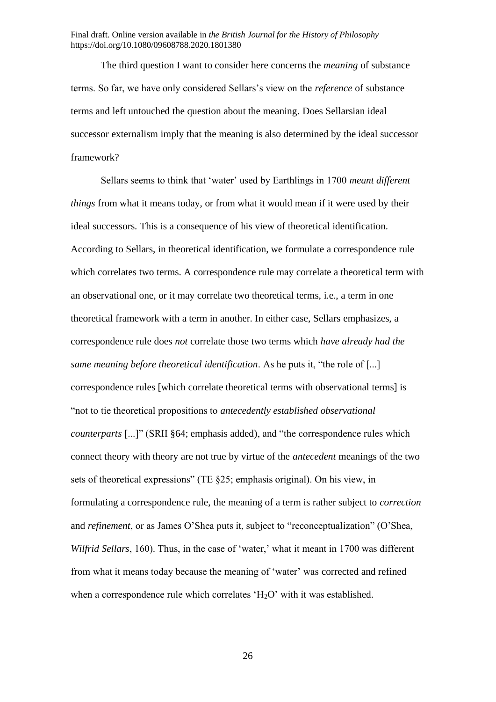The third question I want to consider here concerns the *meaning* of substance terms. So far, we have only considered Sellars's view on the *reference* of substance terms and left untouched the question about the meaning. Does Sellarsian ideal successor externalism imply that the meaning is also determined by the ideal successor framework?

Sellars seems to think that 'water' used by Earthlings in 1700 *meant different things* from what it means today, or from what it would mean if it were used by their ideal successors. This is a consequence of his view of theoretical identification. According to Sellars, in theoretical identification, we formulate a correspondence rule which correlates two terms. A correspondence rule may correlate a theoretical term with an observational one, or it may correlate two theoretical terms, i.e., a term in one theoretical framework with a term in another. In either case, Sellars emphasizes, a correspondence rule does *not* correlate those two terms which *have already had the same meaning before theoretical identification*. As he puts it, "the role of [...] correspondence rules [which correlate theoretical terms with observational terms] is "not to tie theoretical propositions to *antecedently established observational counterparts* [...]" (SRII §64; emphasis added), and "the correspondence rules which connect theory with theory are not true by virtue of the *antecedent* meanings of the two sets of theoretical expressions" (TE §25; emphasis original). On his view, in formulating a correspondence rule, the meaning of a term is rather subject to *correction* and *refinement*, or as James O'Shea puts it, subject to "reconceptualization" (O'Shea, *Wilfrid Sellars*, 160). Thus, in the case of 'water,' what it meant in 1700 was different from what it means today because the meaning of 'water' was corrected and refined when a correspondence rule which correlates ' $H_2O'$ ' with it was established.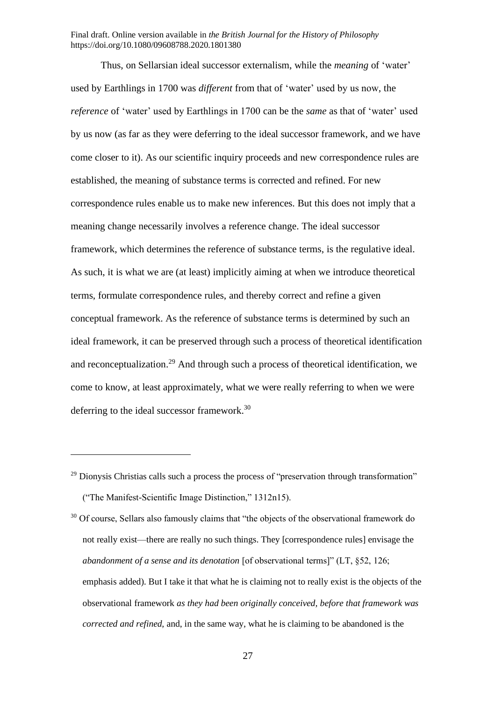Thus, on Sellarsian ideal successor externalism, while the *meaning* of 'water' used by Earthlings in 1700 was *different* from that of 'water' used by us now, the *reference* of 'water' used by Earthlings in 1700 can be the *same* as that of 'water' used by us now (as far as they were deferring to the ideal successor framework, and we have come closer to it). As our scientific inquiry proceeds and new correspondence rules are established, the meaning of substance terms is corrected and refined. For new correspondence rules enable us to make new inferences. But this does not imply that a meaning change necessarily involves a reference change. The ideal successor framework, which determines the reference of substance terms, is the regulative ideal. As such, it is what we are (at least) implicitly aiming at when we introduce theoretical terms, formulate correspondence rules, and thereby correct and refine a given conceptual framework. As the reference of substance terms is determined by such an ideal framework, it can be preserved through such a process of theoretical identification and reconceptualization.<sup>29</sup> And through such a process of theoretical identification, we come to know, at least approximately, what we were really referring to when we were deferring to the ideal successor framework.<sup>30</sup>

 $29$  Dionysis Christias calls such a process the process of "preservation through transformation" ("The Manifest-Scientific Image Distinction," 1312n15).

 $30$  Of course, Sellars also famously claims that "the objects of the observational framework do not really exist—there are really no such things. They [correspondence rules] envisage the *abandonment of a sense and its denotation* [of observational terms]" (LT, §52, 126; emphasis added). But I take it that what he is claiming not to really exist is the objects of the observational framework *as they had been originally conceived, before that framework was corrected and refined*, and, in the same way, what he is claiming to be abandoned is the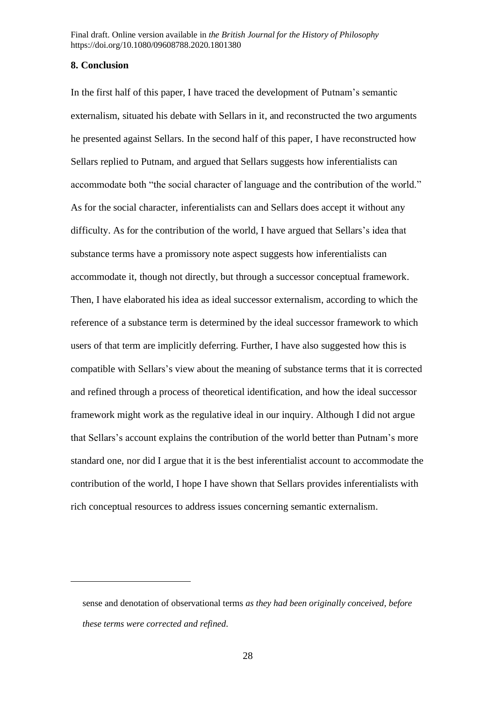## **8. Conclusion**

In the first half of this paper, I have traced the development of Putnam's semantic externalism, situated his debate with Sellars in it, and reconstructed the two arguments he presented against Sellars. In the second half of this paper, I have reconstructed how Sellars replied to Putnam, and argued that Sellars suggests how inferentialists can accommodate both "the social character of language and the contribution of the world." As for the social character, inferentialists can and Sellars does accept it without any difficulty. As for the contribution of the world, I have argued that Sellars's idea that substance terms have a promissory note aspect suggests how inferentialists can accommodate it, though not directly, but through a successor conceptual framework. Then, I have elaborated his idea as ideal successor externalism, according to which the reference of a substance term is determined by the ideal successor framework to which users of that term are implicitly deferring. Further, I have also suggested how this is compatible with Sellars's view about the meaning of substance terms that it is corrected and refined through a process of theoretical identification, and how the ideal successor framework might work as the regulative ideal in our inquiry. Although I did not argue that Sellars's account explains the contribution of the world better than Putnam's more standard one, nor did I argue that it is the best inferentialist account to accommodate the contribution of the world, I hope I have shown that Sellars provides inferentialists with rich conceptual resources to address issues concerning semantic externalism.

sense and denotation of observational terms *as they had been originally conceived, before these terms were corrected and refined*.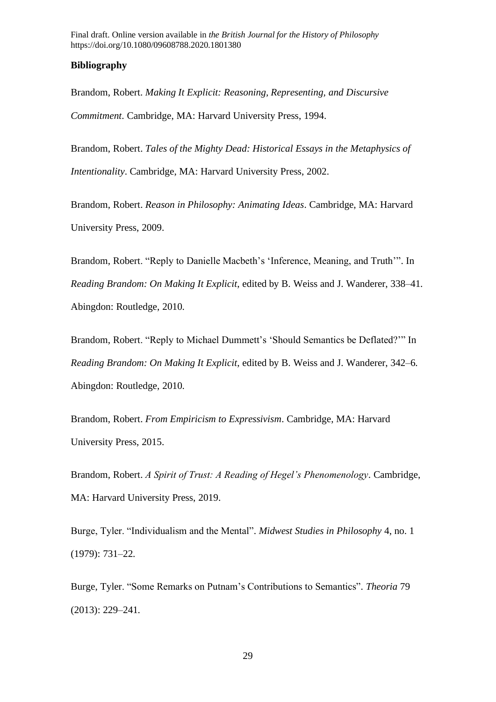### **Bibliography**

Brandom, Robert. *Making It Explicit: Reasoning, Representing, and Discursive Commitment*. Cambridge, MA: Harvard University Press, 1994.

Brandom, Robert. *Tales of the Mighty Dead: Historical Essays in the Metaphysics of Intentionality*. Cambridge, MA: Harvard University Press, 2002.

Brandom, Robert. *Reason in Philosophy: Animating Ideas*. Cambridge, MA: Harvard University Press, 2009.

Brandom, Robert. "Reply to Danielle Macbeth's 'Inference, Meaning, and Truth'". In *Reading Brandom: On Making It Explicit*, edited by B. Weiss and J. Wanderer, 338–41. Abingdon: Routledge, 2010.

Brandom, Robert. "Reply to Michael Dummett's 'Should Semantics be Deflated?'" In *Reading Brandom: On Making It Explicit*, edited by B. Weiss and J. Wanderer, 342–6. Abingdon: Routledge, 2010.

Brandom, Robert. *From Empiricism to Expressivism*. Cambridge, MA: Harvard University Press, 2015.

Brandom, Robert. *A Spirit of Trust: A Reading of Hegel's Phenomenology*. Cambridge, MA: Harvard University Press, 2019.

Burge, Tyler. "Individualism and the Mental". *Midwest Studies in Philosophy* 4, no. 1 (1979): 731–22.

Burge, Tyler. "Some Remarks on Putnam's Contributions to Semantics". *Theoria* 79 (2013): 229–241.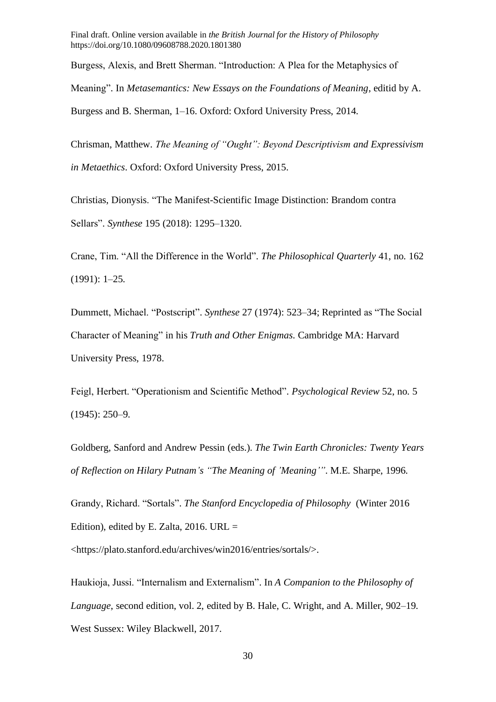Burgess, Alexis, and Brett Sherman. "Introduction: A Plea for the Metaphysics of Meaning". In *Metasemantics: New Essays on the Foundations of Meaning*, editid by A. Burgess and B. Sherman, 1–16. Oxford: Oxford University Press, 2014.

Chrisman, Matthew. *The Meaning of "Ought": Beyond Descriptivism and Expressivism in Metaethics*. Oxford: Oxford University Press, 2015.

Christias, Dionysis. "The Manifest-Scientific Image Distinction: Brandom contra Sellars". *Synthese* 195 (2018): 1295–1320.

Crane, Tim. "All the Difference in the World". *The Philosophical Quarterly* 41, no. 162 (1991): 1–25.

Dummett, Michael. "Postscript". *Synthese* 27 (1974): 523–34; Reprinted as "The Social Character of Meaning" in his *Truth and Other Enigmas*. Cambridge MA: Harvard University Press, 1978.

Feigl, Herbert. "Operationism and Scientific Method". *Psychological Review* 52, no. 5 (1945): 250–9.

Goldberg, Sanford and Andrew Pessin (eds.). *The Twin Earth Chronicles: Twenty Years of Reflection on Hilary Putnam's "The Meaning of 'Meaning'"*. M.E. Sharpe, 1996.

Grandy, Richard. "Sortals". *The Stanford Encyclopedia of Philosophy* (Winter 2016 Edition), edited by E. Zalta,  $2016$ . URL =

<https://plato.stanford.edu/archives/win2016/entries/sortals/>.

Haukioja, Jussi. "Internalism and Externalism". In *A Companion to the Philosophy of Language*, second edition, vol. 2, edited by B. Hale, C. Wright, and A. Miller, 902–19. West Sussex: Wiley Blackwell, 2017.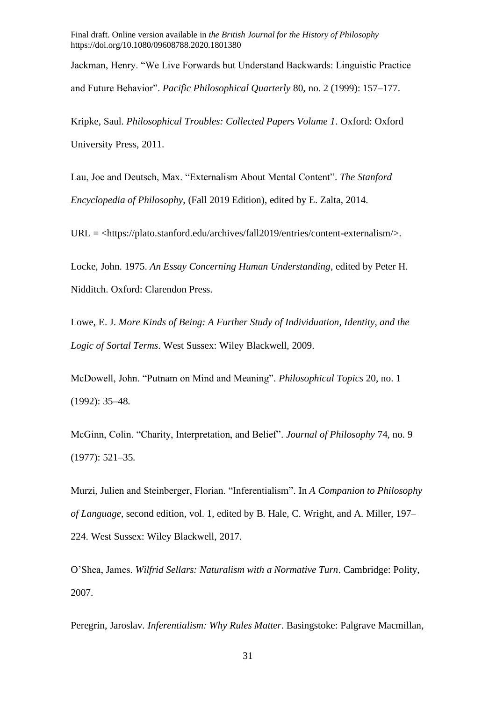Jackman, Henry. "We Live Forwards but Understand Backwards: Linguistic Practice and Future Behavior". *Pacific Philosophical Quarterly* 80, no. 2 (1999): 157–177.

Kripke, Saul. *Philosophical Troubles: Collected Papers Volume 1*. Oxford: Oxford University Press, 2011.

Lau, Joe and Deutsch, Max. "Externalism About Mental Content". *The Stanford Encyclopedia of Philosophy*, (Fall 2019 Edition), edited by E. Zalta, 2014.

 $URL = <$ https://plato.stanford.edu/archives/fall2019/entries/content-externalism/>.

Locke, John. 1975. *An Essay Concerning Human Understanding*, edited by Peter H. Nidditch. Oxford: Clarendon Press.

Lowe, E. J. *More Kinds of Being: A Further Study of Individuation, Identity, and the Logic of Sortal Terms*. West Sussex: Wiley Blackwell, 2009.

McDowell, John. "Putnam on Mind and Meaning". *Philosophical Topics* 20, no. 1 (1992): 35–48.

McGinn, Colin. "Charity, Interpretation, and Belief". *Journal of Philosophy* 74, no. 9 (1977): 521–35.

Murzi, Julien and Steinberger, Florian. "Inferentialism". In *A Companion to Philosophy of Language*, second edition, vol. 1, edited by B. Hale, C. Wright, and A. Miller, 197– 224. West Sussex: Wiley Blackwell, 2017.

O'Shea, James. *Wilfrid Sellars: Naturalism with a Normative Turn*. Cambridge: Polity, 2007.

Peregrin, Jaroslav. *Inferentialism: Why Rules Matter*. Basingstoke: Palgrave Macmillan,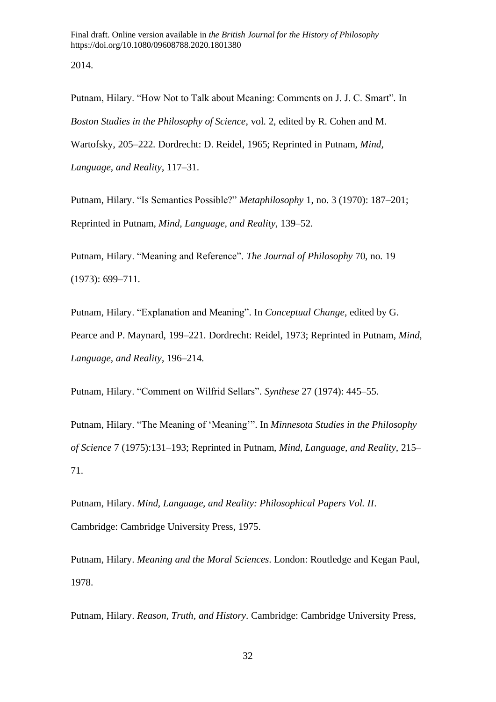2014.

Putnam, Hilary. "How Not to Talk about Meaning: Comments on J. J. C. Smart". In *Boston Studies in the Philosophy of Science*, vol. 2, edited by R. Cohen and M. Wartofsky, 205–222. Dordrecht: D. Reidel, 1965; Reprinted in Putnam, *Mind, Language, and Reality*, 117–31.

Putnam, Hilary. "Is Semantics Possible?" *Metaphilosophy* 1, no. 3 (1970): 187–201; Reprinted in Putnam, *Mind, Language, and Reality*, 139–52.

Putnam, Hilary. "Meaning and Reference". *The Journal of Philosophy* 70, no. 19 (1973): 699–711.

Putnam, Hilary. "Explanation and Meaning". In *Conceptual Change*, edited by G. Pearce and P. Maynard, 199–221. Dordrecht: Reidel, 1973; Reprinted in Putnam, *Mind, Language, and Reality*, 196–214.

Putnam, Hilary. "Comment on Wilfrid Sellars". *Synthese* 27 (1974): 445–55.

Putnam, Hilary. "The Meaning of 'Meaning'". In *Minnesota Studies in the Philosophy of Science* 7 (1975):131–193; Reprinted in Putnam, *Mind, Language, and Reality*, 215– 71.

Putnam, Hilary. *Mind, Language, and Reality: Philosophical Papers Vol. II*. Cambridge: Cambridge University Press, 1975.

Putnam, Hilary. *Meaning and the Moral Sciences*. London: Routledge and Kegan Paul, 1978.

Putnam, Hilary. *Reason, Truth, and History*. Cambridge: Cambridge University Press,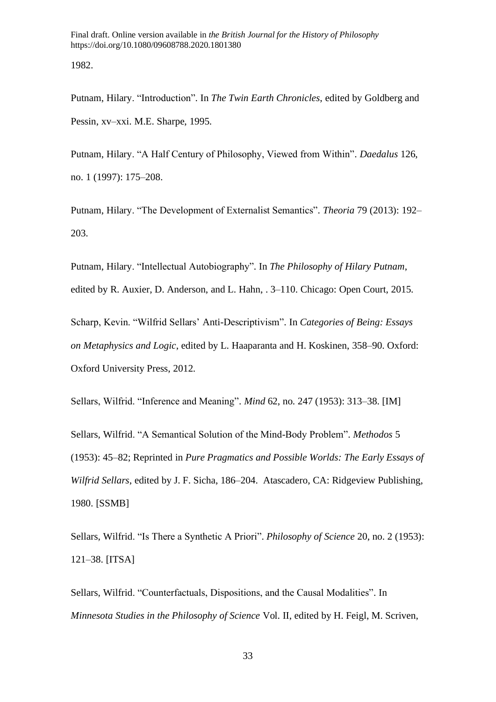1982.

Putnam, Hilary. "Introduction". In *The Twin Earth Chronicles*, edited by Goldberg and Pessin, xv–xxi. M.E. Sharpe, 1995.

Putnam, Hilary. "A Half Century of Philosophy, Viewed from Within". *Daedalus* 126, no. 1 (1997): 175–208.

Putnam, Hilary. "The Development of Externalist Semantics". *Theoria* 79 (2013): 192– 203.

Putnam, Hilary. "Intellectual Autobiography". In *The Philosophy of Hilary Putnam*, edited by R. Auxier, D. Anderson, and L. Hahn, . 3–110. Chicago: Open Court, 2015.

Scharp, Kevin. "Wilfrid Sellars' Anti-Descriptivism". In *Categories of Being: Essays on Metaphysics and Logic*, edited by L. Haaparanta and H. Koskinen, 358–90. Oxford: Oxford University Press, 2012.

Sellars, Wilfrid. "Inference and Meaning". *Mind* 62, no. 247 (1953): 313–38. [IM]

Sellars, Wilfrid. "A Semantical Solution of the Mind-Body Problem". *Methodos* 5 (1953): 45–82; Reprinted in *Pure Pragmatics and Possible Worlds: The Early Essays of Wilfrid Sellars*, edited by J. F. Sicha, 186–204. Atascadero, CA: Ridgeview Publishing, 1980. [SSMB]

Sellars, Wilfrid. "Is There a Synthetic A Priori". *Philosophy of Science* 20, no. 2 (1953): 121–38. [ITSA]

Sellars, Wilfrid. "Counterfactuals, Dispositions, and the Causal Modalities". In *Minnesota Studies in the Philosophy of Science* Vol. II, edited by H. Feigl, M. Scriven,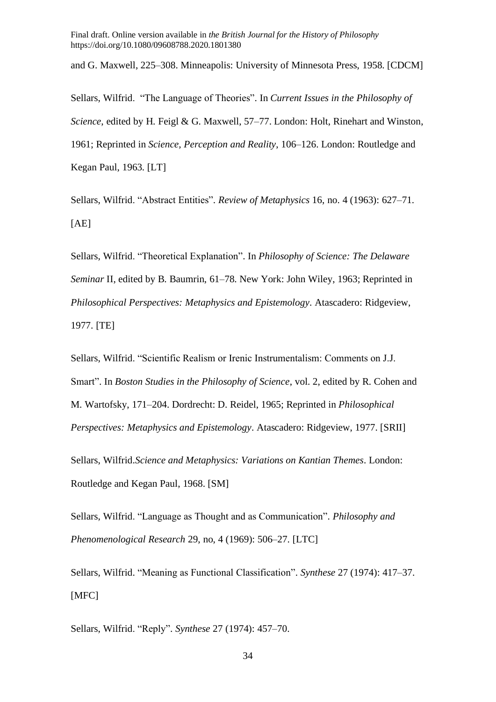and G. Maxwell, 225–308. Minneapolis: University of Minnesota Press, 1958. [CDCM]

Sellars, Wilfrid. "The Language of Theories". In *Current Issues in the Philosophy of Science*, edited by H. Feigl & G. Maxwell, 57–77. London: Holt, Rinehart and Winston, 1961; Reprinted in *Science, Perception and Reality*, 106–126. London: Routledge and Kegan Paul, 1963. [LT]

Sellars, Wilfrid. "Abstract Entities". *Review of Metaphysics* 16, no. 4 (1963): 627–71.  $[AE]$ 

Sellars, Wilfrid. "Theoretical Explanation". In *Philosophy of Science: The Delaware Seminar* II, edited by B. Baumrin, 61–78. New York: John Wiley, 1963; Reprinted in *Philosophical Perspectives: Metaphysics and Epistemology*. Atascadero: Ridgeview, 1977. [TE]

Sellars, Wilfrid. "Scientific Realism or Irenic Instrumentalism: Comments on J.J. Smart". In *Boston Studies in the Philosophy of Science*, vol. 2, edited by R. Cohen and M. Wartofsky, 171–204. Dordrecht: D. Reidel, 1965; Reprinted in *Philosophical Perspectives: Metaphysics and Epistemology*. Atascadero: Ridgeview, 1977. [SRII]

Sellars, Wilfrid.*Science and Metaphysics: Variations on Kantian Themes*. London: Routledge and Kegan Paul, 1968. [SM]

Sellars, Wilfrid. "Language as Thought and as Communication". *Philosophy and Phenomenological Research* 29, no, 4 (1969): 506–27. [LTC]

Sellars, Wilfrid. "Meaning as Functional Classification". *Synthese* 27 (1974): 417–37. [MFC]

Sellars, Wilfrid. "Reply". *Synthese* 27 (1974): 457–70.